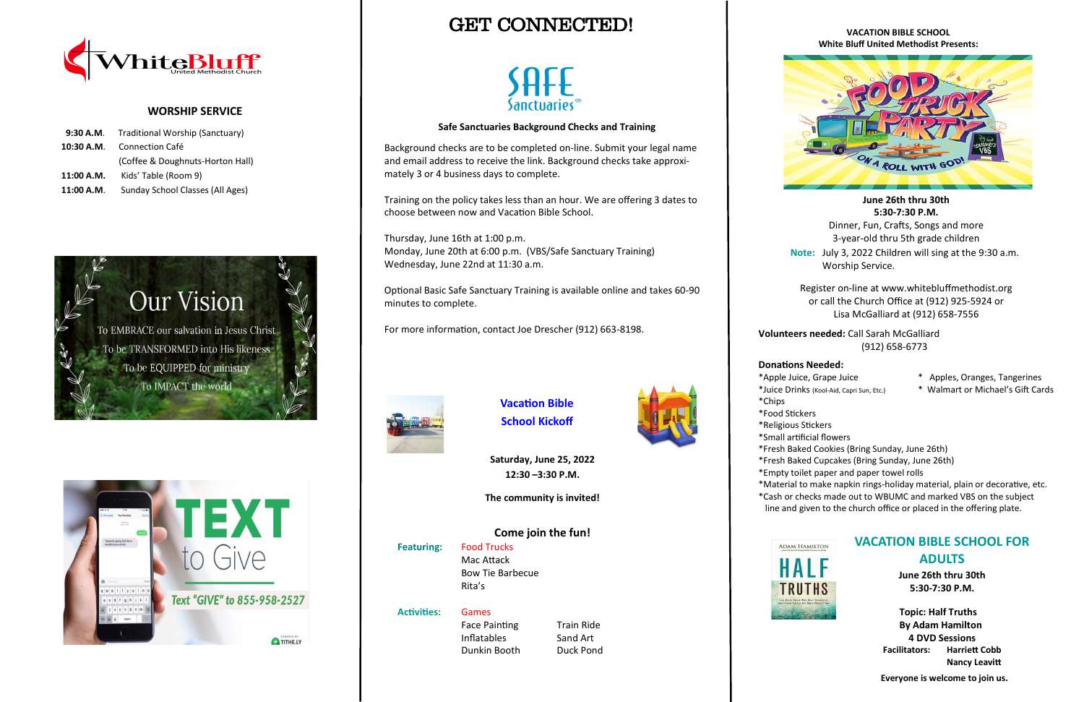# GET CONNECTED!



### **VACATION BIBLE SCHOOL White Bluff United Methodist Presents:**



**June 26th thru 30th 5:30-7:30 P.M.**

Dinner, Fun, Crafts, Songs and more 3-year-old thru 5th grade children

**Note:** July 3, 2022 Children will sing at the 9:30 a.m. Worship Service.

Register on-line at www.whitebluffmethodist.org or call the Church Office at (912) 925-5924 or Lisa McGalliard at (912) 658-7556

**Volunteers needed:** Call Sarah McGalliard (912) 658-6773

### **Donations Needed:**

- \*Apple Juice, Grape Juice \* Apples, Oranges, Tangerines
- \*Juice Drinks (Kool-Aid, Capri Sun, Etc.) \* Walmart or Michael's Gift Cards

- 
- \*Chips
- \*Food Stickers
- \*Religious Stickers
- \*Small artificial flowers
- \*Fresh Baked Cookies (Bring Sunday, June 26th)
- \*Fresh Baked Cupcakes (Bring Sunday, June 26th)
- 
- \*Material to make napkin rings-holiday material, plain or decorative, etc. \*Cash or checks made out to WBUMC and marked VBS on the subject
- 



Face Painting Train Ride Inflatables Sand Art

- \*Empty toilet paper and paper towel rolls
- line and given to the church office or placed in the offering plate.



### **WORSHIP SERVICE**

|            | 9:30 A.M. Traditional Worship (Sanctuary) |  |
|------------|-------------------------------------------|--|
|            | <b>10:30 A.M.</b> Connection Café         |  |
|            | (Coffee & Doughnuts-Horton Hall)          |  |
| 11:00 A.M. | Kids' Table (Room 9)                      |  |
| 11:00 A.M. | Sunday School Classes (All Ages)          |  |





## **VACATION BIBLE SCHOOL FOR ADULTS**

**June 26th thru 30th 5:30-7:30 P.M.**

 **Topic: Half Truths By Adam Hamilton 4 DVD Sessions Facilitators: Harriett Cobb Nancy Leavitt**

 **Everyone is welcome to join us.**



**School Kickoff**

**Saturday, June 25, 2022 12:30 –3:30 P.M.**

**The community is invited!**

**Come join the fun! Featuring:** Food Trucks Mac Attack Bow Tie Barbecue Rita's



Dunkin Booth Duck Pond

### **Safe Sanctuaries Background Checks and Training**

Background checks are to be completed on-line. Submit your legal name and email address to receive the link. Background checks take approximately 3 or 4 business days to complete.

Training on the policy takes less than an hour. We are offering 3 dates to choose between now and Vacation Bible School.

Thursday, June 16th at 1:00 p.m. Monday, June 20th at 6:00 p.m. (VBS/Safe Sanctuary Training) Wednesday, June 22nd at 11:30 a.m.

Optional Basic Safe Sanctuary Training is available online and takes 60-90 minutes to complete.

For more information, contact Joe Drescher (912) 663-8198.